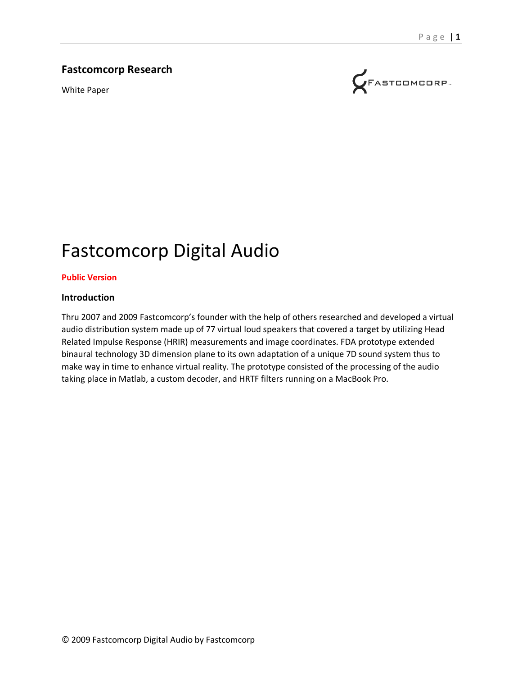## **Fastcomcorp Research**

White Paper



# Fastcomcorp Digital Audio

#### **Public Version**

#### **Introduction**

Thru 2007 and 2009 Fastcomcorp's founder with the help of others researched and developed a virtual audio distribution system made up of 77 virtual loud speakers that covered a target by utilizing Head Related Impulse Response (HRIR) measurements and image coordinates. FDA prototype extended binaural technology 3D dimension plane to its own adaptation of a unique 7D sound system thus to make way in time to enhance virtual reality. The prototype consisted of the processing of the audio taking place in Matlab, a custom decoder, and HRTF filters running on a MacBook Pro.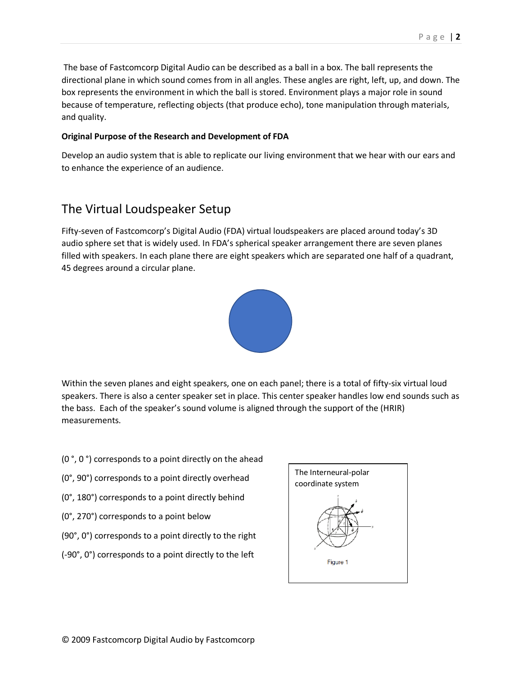The base of Fastcomcorp Digital Audio can be described as a ball in a box. The ball represents the directional plane in which sound comes from in all angles. These angles are right, left, up, and down. The box represents the environment in which the ball is stored. Environment plays a major role in sound because of temperature, reflecting objects (that produce echo), tone manipulation through materials, and quality.

#### **Original Purpose of the Research and Development of FDA**

Develop an audio system that is able to replicate our living environment that we hear with our ears and to enhance the experience of an audience.

# The Virtual Loudspeaker Setup

Fifty-seven of Fastcomcorp's Digital Audio (FDA) virtual loudspeakers are placed around today's 3D audio sphere set that is widely used. In FDA's spherical speaker arrangement there are seven planes filled with speakers. In each plane there are eight speakers which are separated one half of a quadrant, 45 degrees around a circular plane.



Within the seven planes and eight speakers, one on each panel; there is a total of fifty-six virtual loud speakers. There is also a center speaker set in place. This center speaker handles low end sounds such as the bass. Each of the speaker's sound volume is aligned through the support of the (HRIR) measurements.

- (0 °, 0 °) corresponds to a point directly on the ahead
- (0°, 90°) corresponds to a point directly overhead
- (0°, 180°) corresponds to a point directly behind
- (0°, 270°) corresponds to a point below
- (90°, 0°) corresponds to a point directly to the right
- (-90°, 0°) corresponds to a point directly to the left

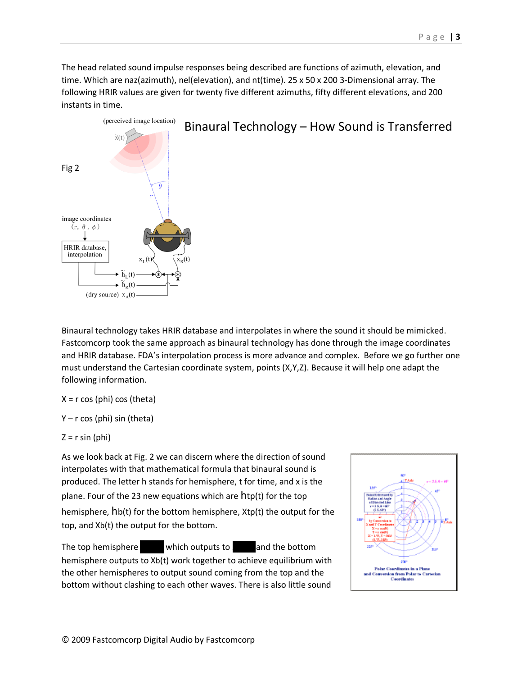The head related sound impulse responses being described are functions of azimuth, elevation, and time. Which are naz(azimuth), nel(elevation), and nt(time). 25 x 50 x 200 3-Dimensional array. The following HRIR values are given for twenty five different azimuths, fifty different elevations, and 200 instants in time.



Binaural technology takes HRIR database and interpolates in where the sound it should be mimicked. Fastcomcorp took the same approach as binaural technology has done through the image coordinates and HRIR database. FDA's interpolation process is more advance and complex. Before we go further one must understand the Cartesian coordinate system, points (X,Y,Z). Because it will help one adapt the following information.

 $X = r \cos(\pi) \cos(\pi)$ 

Y – r cos (phi) sin (theta)

$$
Z = r \sin{(phi)}
$$

As we look back at Fig. 2 we can discern where the direction of sound interpolates with that mathematical formula that binaural sound is produced. The letter h stands for hemisphere, t for time, and x is the plane. Four of the 23 new equations which are htp(t) for the top hemisphere, hb(t) for the bottom hemisphere, Xtp(t) the output for the top, and Xb(t) the output for the bottom.

The top hemisphere htpm(t) which outputs to  $\sim$  and the bottom hemisphere outputs to Xb(t) work together to achieve equilibrium with the other hemispheres to output sound coming from the top and the bottom without clashing to each other waves. There is also little sound

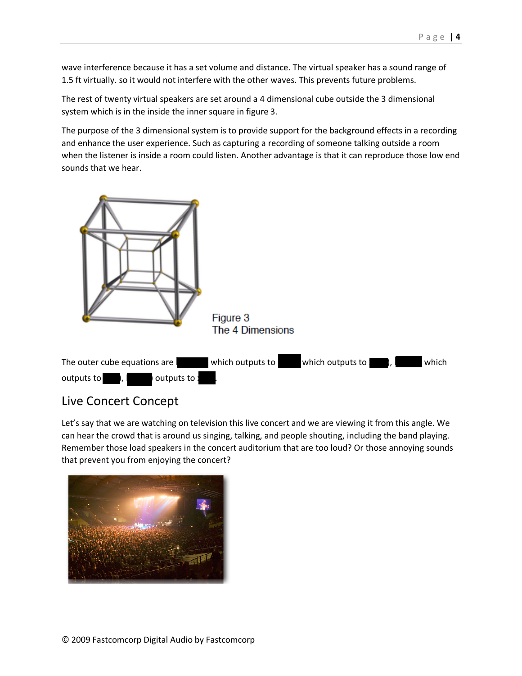wave interference because it has a set volume and distance. The virtual speaker has a sound range of 1.5 ft virtually. so it would not interfere with the other waves. This prevents future problems.

The rest of twenty virtual speakers are set around a 4 dimensional cube outside the 3 dimensional system which is in the inside the inner square in figure 3.

The purpose of the 3 dimensional system is to provide support for the background effects in a recording and enhance the user experience. Such as capturing a recording of someone talking outside a room when the listener is inside a room could listen. Another advantage is that it can reproduce those low end sounds that we hear.



# Live Concert Concept

Let's say that we are watching on television this live concert and we are viewing it from this angle. We can hear the crowd that is around us singing, talking, and people shouting, including the band playing. Remember those load speakers in the concert auditorium that are too loud? Or those annoying sounds that prevent you from enjoying the concert?

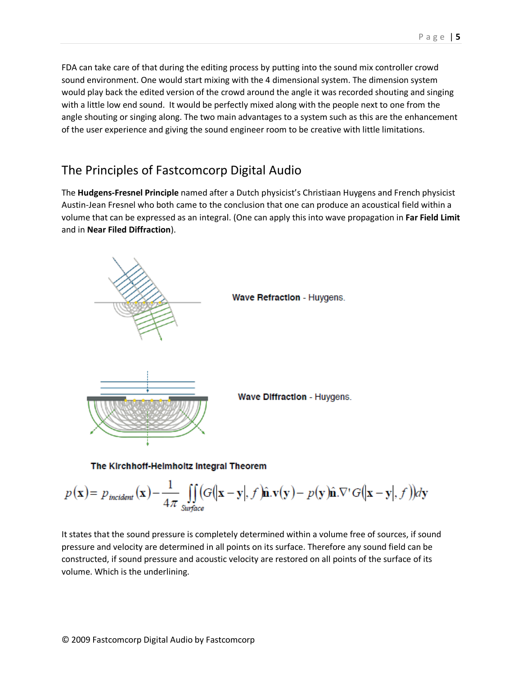FDA can take care of that during the editing process by putting into the sound mix controller crowd sound environment. One would start mixing with the 4 dimensional system. The dimension system would play back the edited version of the crowd around the angle it was recorded shouting and singing with a little low end sound. It would be perfectly mixed along with the people next to one from the angle shouting or singing along. The two main advantages to a system such as this are the enhancement of the user experience and giving the sound engineer room to be creative with little limitations.

## The Principles of Fastcomcorp Digital Audio

The **Hudgens-Fresnel Principle** named after a Dutch physicist's Christiaan Huygens and French physicist Austin-Jean Fresnel who both came to the conclusion that one can produce an acoustical field within a volume that can be expressed as an integral. (One can apply this into wave propagation in **Far Field Limit** and in **Near Filed Diffraction**).



$$
p(\mathbf{x}) = p_{\text{incident}}(\mathbf{x}) - \frac{1}{4\pi} \iint_{\text{Surface}} (G(|\mathbf{x} - \mathbf{y}|, f)\hat{\mathbf{n}}.\mathbf{v}(\mathbf{y}) - p(\mathbf{y})\hat{\mathbf{n}}.\nabla' G(|\mathbf{x} - \mathbf{y}|, f))d\mathbf{y}
$$

It states that the sound pressure is completely determined within a volume free of sources, if sound pressure and velocity are determined in all points on its surface. Therefore any sound field can be constructed, if sound pressure and acoustic velocity are restored on all points of the surface of its volume. Which is the underlining.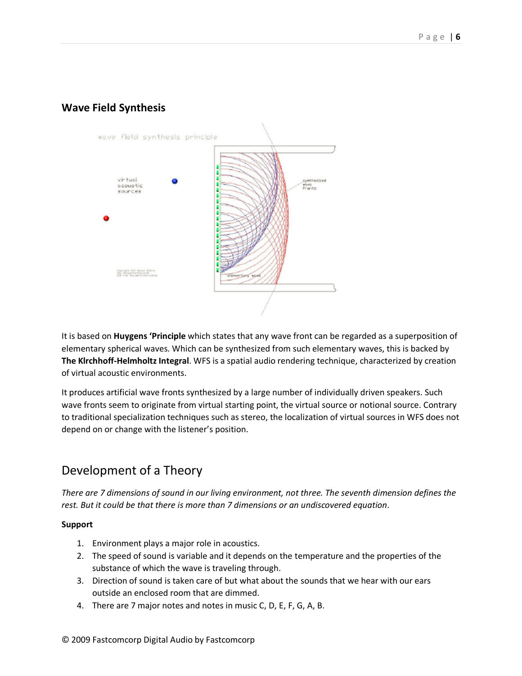## **Wave Field Synthesis**



It is based on **Huygens 'Principle** which states that any wave front can be regarded as a superposition of elementary spherical waves. Which can be synthesized from such elementary waves, this is backed by **The Klrchhoff-Helmholtz Integral**. WFS is a spatial audio rendering technique, characterized by creation of virtual acoustic environments.

It produces artificial wave fronts synthesized by a large number of individually driven speakers. Such wave fronts seem to originate from virtual starting point, the virtual source or notional source. Contrary to traditional specialization techniques such as stereo, the localization of virtual sources in WFS does not depend on or change with the listener's position.

# Development of a Theory

*There are 7 dimensions of sound in our living environment, not three. The seventh dimension defines the rest. But it could be that there is more than 7 dimensions or an undiscovered equation*.

#### **Support**

- 1. Environment plays a major role in acoustics.
- 2. The speed of sound is variable and it depends on the temperature and the properties of the substance of which the wave is traveling through.
- 3. Direction of sound is taken care of but what about the sounds that we hear with our ears outside an enclosed room that are dimmed.
- 4. There are 7 major notes and notes in music C, D, E, F, G, A, B.